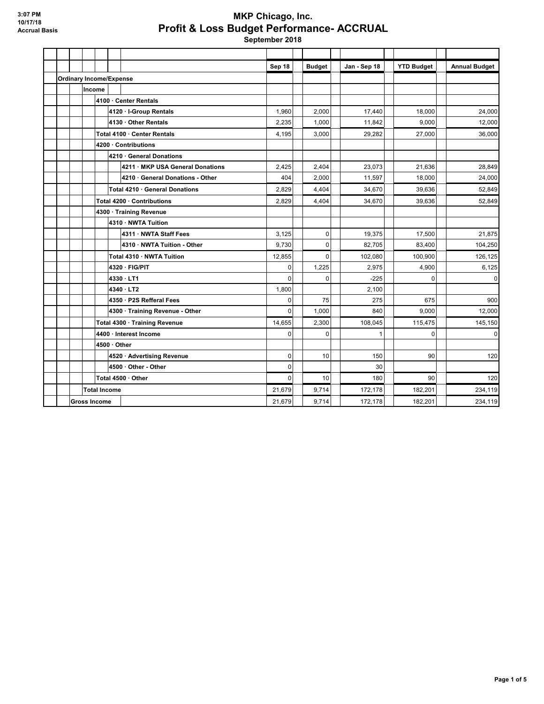### **MKP Chicago, Inc. Profit & Loss Budget Performance- ACCRUAL**

|                     |                                |                     |                                  | Sep 18       | <b>Budget</b> | Jan - Sep 18 | <b>YTD Budget</b> | <b>Annual Budget</b> |
|---------------------|--------------------------------|---------------------|----------------------------------|--------------|---------------|--------------|-------------------|----------------------|
|                     | <b>Ordinary Income/Expense</b> |                     |                                  |              |               |              |                   |                      |
|                     |                                | Income              |                                  |              |               |              |                   |                      |
|                     |                                |                     | 4100 · Center Rentals            |              |               |              |                   |                      |
|                     |                                |                     | 4120 · I-Group Rentals           | 1,960        | 2,000         | 17,440       | 18,000            | 24,000               |
|                     |                                |                     | 4130 · Other Rentals             | 2,235        | 1,000         | 11,842       | 9,000             | 12,000               |
|                     |                                |                     | Total 4100 · Center Rentals      | 4,195        | 3,000         | 29,282       | 27,000            | 36,000               |
|                     |                                |                     | 4200 · Contributions             |              |               |              |                   |                      |
|                     |                                |                     | 4210 · General Donations         |              |               |              |                   |                      |
|                     |                                |                     | 4211 · MKP USA General Donations | 2,425        | 2,404         | 23.073       | 21,636            | 28,849               |
|                     |                                |                     | 4210 · General Donations - Other | 404          | 2,000         | 11,597       | 18,000            | 24,000               |
|                     |                                |                     | Total 4210 · General Donations   | 2,829        | 4,404         | 34,670       | 39,636            | 52,849               |
|                     |                                |                     | Total 4200 · Contributions       | 2,829        | 4,404         | 34,670       | 39,636            | 52,849               |
|                     |                                |                     | 4300 · Training Revenue          |              |               |              |                   |                      |
|                     |                                |                     | 4310 · NWTA Tuition              |              |               |              |                   |                      |
|                     |                                |                     | 4311 · NWTA Staff Fees           | 3,125        | 0             | 19,375       | 17,500            | 21,875               |
|                     |                                |                     | 4310 · NWTA Tuition - Other      | 9,730        | $\Omega$      | 82,705       | 83,400            | 104,250              |
|                     |                                |                     | Total 4310 · NWTA Tuition        | 12,855       | $\Omega$      | 102,080      | 100,900           | 126,125              |
|                     |                                |                     | 4320 · FIG/PIT                   | $\mathbf 0$  | 1,225         | 2,975        | 4,900             | 6,125                |
|                     |                                |                     | 4330 · LT1                       | $\mathbf{0}$ | $\mathbf 0$   | $-225$       | $\Omega$          | 0                    |
|                     |                                |                     | 4340 · LT2                       | 1,800        |               | 2,100        |                   |                      |
|                     |                                |                     | 4350 · P2S Refferal Fees         | 0            | 75            | 275          | 675               | 900                  |
|                     |                                |                     | 4300 · Training Revenue - Other  | $\Omega$     | 1,000         | 840          | 9,000             | 12,000               |
|                     |                                |                     | Total 4300 · Training Revenue    | 14,655       | 2,300         | 108,045      | 115,475           | 145,150              |
|                     |                                |                     | 4400 · Interest Income           | $\mathbf 0$  | 0             | $\mathbf{1}$ | $\mathbf 0$       | $\mathbf 0$          |
|                     |                                |                     | $4500 \cdot$ Other               |              |               |              |                   |                      |
|                     |                                |                     | 4520 · Advertising Revenue       | $\mathbf 0$  | 10            | 150          | 90                | 120                  |
|                     |                                |                     | 4500 · Other - Other             | $\mathbf 0$  |               | 30           |                   |                      |
|                     |                                |                     | Total 4500 · Other               | $\mathbf{0}$ | 10            | 180          | 90                | 120                  |
|                     |                                | <b>Total Income</b> |                                  | 21,679       | 9,714         | 172,178      | 182,201           | 234,119              |
| <b>Gross Income</b> |                                |                     |                                  |              | 9,714         | 172,178      | 182,201           | 234,119              |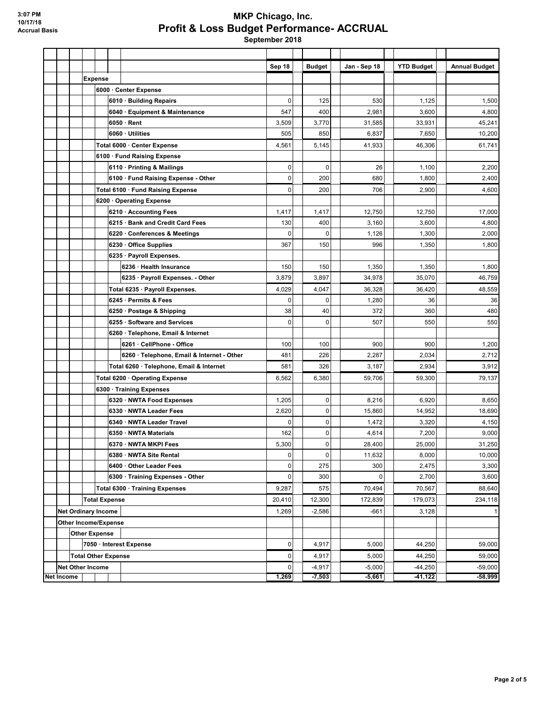### **MKP Chicago, Inc. Profit & Loss Budget Performance- ACCRUAL**

|                   |                            |  |                                |                                |                                            | Sep 18       |          | <b>Budget</b> | Jan - Sep 18 | <b>YTD Budget</b> | <b>Annual Budget</b> |
|-------------------|----------------------------|--|--------------------------------|--------------------------------|--------------------------------------------|--------------|----------|---------------|--------------|-------------------|----------------------|
|                   |                            |  | <b>Expense</b>                 |                                |                                            |              |          |               |              |                   |                      |
|                   |                            |  |                                |                                | 6000 · Center Expense                      |              |          |               |              |                   |                      |
|                   |                            |  |                                |                                | 6010 · Building Repairs                    | 0            |          | 125           | 530          | 1,125             | 1,500                |
|                   |                            |  |                                |                                | 6040 · Equipment & Maintenance             | 547          |          | 400           | 2,981        | 3,600             | 4,800                |
|                   |                            |  |                                |                                | $6050 \cdot$ Rent                          | 3,509        |          | 3,770         | 31,585       | 33,931            | 45,241               |
|                   |                            |  |                                |                                | 6060 · Utilities                           | 505          |          | 850           | 6,837        | 7,650             | 10,200               |
|                   |                            |  |                                |                                | Total 6000 · Center Expense                | 4,561        |          | 5,145         | 41,933       | 46,306            | 61,741               |
|                   |                            |  |                                |                                | 6100 · Fund Raising Expense                |              |          |               |              |                   |                      |
|                   |                            |  |                                |                                | 6110 · Printing & Mailings                 | 0            |          | $\mathbf 0$   | 26           | 1,100             | 2,200                |
|                   |                            |  |                                |                                | 6100 · Fund Raising Expense - Other        | 0            |          | 200           | 680          | 1,800             | 2,400                |
|                   |                            |  |                                |                                | Total 6100 · Fund Raising Expense          | 0            |          | 200           | 706          | 2,900             | 4,600                |
|                   |                            |  |                                |                                | 6200 Operating Expense                     |              |          |               |              |                   |                      |
|                   |                            |  |                                |                                | 6210 · Accounting Fees                     | 1,417        |          | 1,417         | 12,750       | 12,750            | 17,000               |
|                   |                            |  |                                |                                | 6215 · Bank and Credit Card Fees           | 130          |          | 400           | 3,160        | 3,600             | 4,800                |
|                   |                            |  |                                |                                | 6220 · Conferences & Meetings              | 0            |          | 0             | 1,126        | 1,300             | 2,000                |
|                   |                            |  |                                |                                | 6230 · Office Supplies                     | 367          |          | 150           | 996          | 1,350             | 1,800                |
|                   |                            |  |                                |                                | 6235 · Payroll Expenses.                   |              |          |               |              |                   |                      |
|                   |                            |  |                                |                                | 6236 · Health Insurance                    | 150          |          | 150           | 1,350        | 1,350             | 1,800                |
|                   |                            |  |                                |                                | 6235 · Payroll Expenses. - Other           | 3,879        |          | 3,897         | 34,978       | 35,070            | 46,759               |
|                   |                            |  |                                |                                | Total 6235 · Payroll Expenses.             | 4,029        |          | 4,047         | 36,328       | 36.420            | 48,559               |
|                   |                            |  |                                |                                | 6245 · Permits & Fees                      | 0            |          | $\mathbf 0$   | 1,280        | 36                | 36                   |
|                   |                            |  |                                |                                | 6250 Postage & Shipping                    | 38           |          | 40            | 372          | 360               | 480                  |
|                   |                            |  |                                |                                | 6255 · Software and Services               | 0            |          | $\mathbf 0$   | 507          | 550               | 550                  |
|                   |                            |  |                                |                                | 6260 · Telephone, Email & Internet         |              |          |               |              |                   |                      |
|                   |                            |  |                                |                                | 6261 · CellPhone - Office                  | 100          |          | 100           | 900          | 900               | 1,200                |
|                   |                            |  |                                |                                | 6260 · Telephone, Email & Internet - Other | 481          |          | 226           | 2,287        | 2,034             | 2,712                |
|                   |                            |  |                                |                                | Total 6260 · Telephone, Email & Internet   | 581          |          | 326           | 3,187        | 2,934             | 3,912                |
|                   |                            |  | Total 6200 · Operating Expense |                                |                                            |              | 6,562    | 6,380         | 59,706       | 59,300            | 79,137               |
|                   |                            |  |                                |                                | 6300 · Training Expenses                   |              |          |               |              |                   |                      |
|                   |                            |  |                                |                                | 6320 · NWTA Food Expenses                  | 1,205        |          | 0             | 8,216        | 6,920             | 8,650                |
|                   |                            |  |                                |                                | 6330 · NWTA Leader Fees                    | 2,620        |          | $\pmb{0}$     | 15,860       | 14,952            | 18,690               |
|                   |                            |  |                                |                                | 6340 · NWTA Leader Travel                  | 0            |          | 0             | 1,472        | 3,320             | 4,150                |
|                   |                            |  |                                |                                | 6350 · NWTA Materials                      | 162          |          | 0             | 4,614        | 7,200             | 9,000                |
|                   |                            |  |                                |                                | 6370 · NWTA MKPI Fees                      | 5,300        |          | 0             | 28,400       | 25,000            | 31,250               |
|                   |                            |  |                                |                                | 6380 · NWTA Site Rental                    | 0            |          | $\pmb{0}$     | 11,632       | 8,000             | 10,000               |
|                   |                            |  |                                |                                | 6400 Other Leader Fees                     | 0            |          | 275           | 300          | 2,475             | 3,300                |
|                   |                            |  |                                |                                | 6300 · Training Expenses - Other           | 0            |          | 300           | $\Omega$     | 2,700             | 3,600                |
|                   |                            |  |                                | Total 6300 · Training Expenses |                                            | 9,287        |          | 575           | 70,494       | 70,567            | 88,640               |
|                   | <b>Total Expense</b>       |  | 20,410                         |                                | 12,300                                     | 172,839      | 179,073  | 234,118       |              |                   |                      |
|                   | <b>Net Ordinary Income</b> |  |                                |                                | 1,269                                      |              | $-2,586$ | $-661$        | 3,128        |                   |                      |
|                   |                            |  | Other Income/Expense           |                                |                                            |              |          |               |              |                   |                      |
|                   | <b>Other Expense</b>       |  |                                |                                |                                            |              |          |               |              |                   |                      |
|                   |                            |  |                                |                                | 7050 · Interest Expense                    | $\mathbf{0}$ |          | 4,917         | 5,000        | 44,250            | 59,000               |
|                   |                            |  | <b>Total Other Expense</b>     |                                |                                            | 0            |          | 4,917         | 5,000        | 44,250            | 59,000               |
|                   |                            |  | <b>Net Other Income</b>        |                                |                                            | 0            |          | $-4,917$      | $-5,000$     | $-44,250$         | $-59,000$            |
| <b>Net Income</b> |                            |  |                                |                                |                                            | 1,269        |          | $-7,503$      | $-5,661$     | $-41,122$         | $-58,999$            |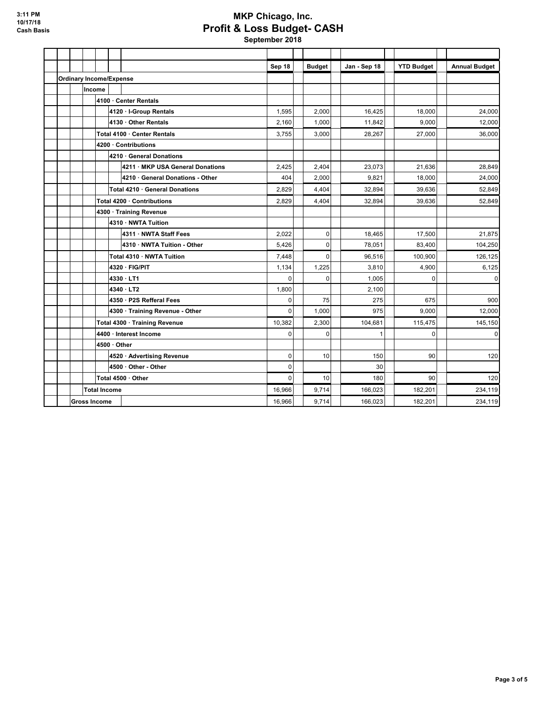# **MKP Chicago, Inc. Profit & Loss Budget- CASH**

|                                |                     |                     |                                 |                                  | Sep 18       |  | <b>Budget</b> | Jan - Sep 18 | <b>YTD Budget</b> | <b>Annual Budget</b> |
|--------------------------------|---------------------|---------------------|---------------------------------|----------------------------------|--------------|--|---------------|--------------|-------------------|----------------------|
| <b>Ordinary Income/Expense</b> |                     |                     |                                 |                                  |              |  |               |              |                   |                      |
|                                |                     | Income              |                                 |                                  |              |  |               |              |                   |                      |
|                                |                     |                     | 4100 · Center Rentals           |                                  |              |  |               |              |                   |                      |
|                                |                     |                     |                                 | 4120 · I-Group Rentals           | 1,595        |  | 2,000         | 16,425       | 18,000            | 24,000               |
|                                |                     |                     |                                 | 4130 · Other Rentals             | 2,160        |  | 1,000         | 11,842       | 9,000             | 12,000               |
|                                |                     |                     |                                 | Total 4100 · Center Rentals      | 3,755        |  | 3,000         | 28,267       | 27,000            | 36,000               |
|                                |                     |                     |                                 | 4200 · Contributions             |              |  |               |              |                   |                      |
|                                |                     |                     |                                 | 4210 General Donations           |              |  |               |              |                   |                      |
|                                |                     |                     |                                 | 4211 · MKP USA General Donations | 2,425        |  | 2,404         | 23,073       | 21,636            | 28,849               |
|                                |                     |                     |                                 | 4210 · General Donations - Other | 404          |  | 2,000         | 9,821        | 18,000            | 24,000               |
|                                |                     |                     |                                 | Total 4210 General Donations     | 2,829        |  | 4,404         | 32,894       | 39,636            | 52,849               |
|                                |                     |                     |                                 | Total 4200 · Contributions       | 2,829        |  | 4,404         | 32,894       | 39,636            | 52.849               |
|                                |                     |                     |                                 | 4300 · Training Revenue          |              |  |               |              |                   |                      |
|                                |                     |                     | 4310 · NWTA Tuition             |                                  |              |  |               |              |                   |                      |
|                                |                     |                     |                                 | 4311 · NWTA Staff Fees           | 2,022        |  | 0             | 18,465       | 17,500            | 21,875               |
|                                |                     |                     |                                 | 4310 · NWTA Tuition - Other      | 5,426        |  | $\mathbf 0$   | 78,051       | 83,400            | 104,250              |
|                                |                     |                     | Total 4310 · NWTA Tuition       |                                  | 7,448        |  | $\Omega$      | 96.516       | 100.900           | 126,125              |
|                                |                     |                     |                                 | 4320 · FIG/PIT                   | 1,134        |  | 1,225         | 3,810        | 4,900             | 6,125                |
|                                |                     |                     |                                 | 4330 · LT1                       | $\mathbf{0}$ |  | $\mathbf 0$   | 1,005        | $\overline{0}$    | $\mathbf 0$          |
|                                |                     |                     |                                 | 4340 LT2                         | 1,800        |  |               | 2,100        |                   |                      |
|                                |                     |                     |                                 | 4350 · P2S Refferal Fees         | 0            |  | 75            | 275          | 675               | 900                  |
|                                |                     |                     | 4300 · Training Revenue - Other |                                  | 0            |  | 1,000         | 975          | 9,000             | 12,000               |
|                                |                     |                     | Total 4300 · Training Revenue   |                                  | 10,382       |  | 2,300         | 104,681      | 115,475           | 145,150              |
|                                |                     |                     |                                 | 4400 · Interest Income           | 0            |  | 0             |              | 0                 | $\overline{0}$       |
|                                |                     |                     | 4500 · Other                    |                                  |              |  |               |              |                   |                      |
|                                |                     |                     |                                 | 4520 · Advertising Revenue       | $\mathbf 0$  |  | 10            | 150          | 90                | 120                  |
|                                |                     |                     | 4500 Other - Other              |                                  | $\mathbf 0$  |  |               | 30           |                   |                      |
|                                |                     |                     |                                 | Total 4500 · Other               | $\mathbf{0}$ |  | 10            | 180          | 90                | 120                  |
|                                |                     | <b>Total Income</b> |                                 |                                  | 16,966       |  | 9.714         | 166.023      | 182.201           | 234,119              |
|                                | <b>Gross Income</b> |                     |                                 |                                  | 16,966       |  | 9,714         | 166,023      | 182,201           | 234,119              |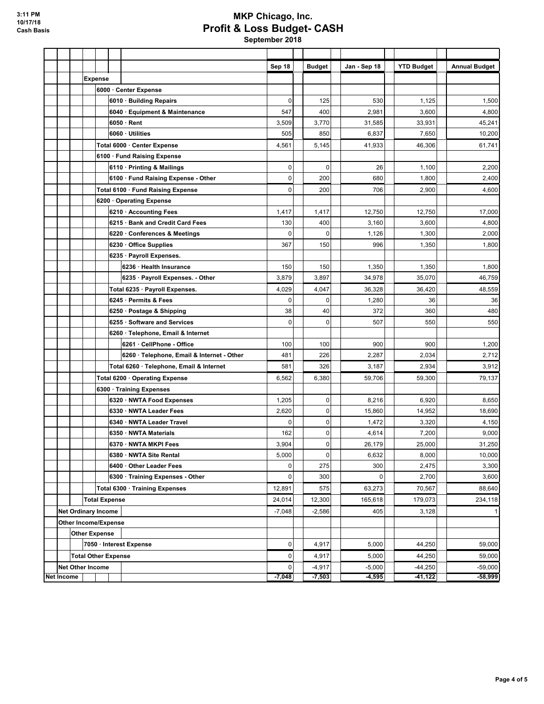# **MKP Chicago, Inc. Profit & Loss Budget- CASH**

|                   |                         |                             |                                            | Sep 18      | <b>Budget</b> | Jan - Sep 18 | <b>YTD Budget</b> | <b>Annual Budget</b> |
|-------------------|-------------------------|-----------------------------|--------------------------------------------|-------------|---------------|--------------|-------------------|----------------------|
|                   |                         | <b>Expense</b>              |                                            |             |               |              |                   |                      |
|                   |                         |                             | 6000 · Center Expense                      |             |               |              |                   |                      |
|                   |                         |                             | 6010 Building Repairs                      | 0           | 125           | 530          | 1,125             | 1,500                |
|                   |                         |                             | 6040 · Equipment & Maintenance             | 547         | 400           | 2,981        | 3,600             | 4,800                |
|                   |                         |                             | $6050 \cdot$ Rent                          | 3,509       | 3,770         | 31,585       | 33,931            | 45,241               |
|                   |                         |                             | 6060 · Utilities                           | 505         | 850           | 6,837        | 7,650             | 10,200               |
|                   |                         |                             | Total 6000 · Center Expense                | 4,561       | 5,145         | 41,933       | 46.306            | 61,741               |
|                   |                         |                             | 6100 · Fund Raising Expense                |             |               |              |                   |                      |
|                   |                         |                             | 6110 Printing & Mailings                   | 0           | $\mathbf 0$   | 26           | 1,100             | 2,200                |
|                   |                         |                             | 6100 · Fund Raising Expense - Other        | $\mathbf 0$ | 200           | 680          | 1,800             | 2,400                |
|                   |                         |                             | Total 6100 · Fund Raising Expense          | $\pmb{0}$   | 200           | 706          | 2,900             | 4,600                |
|                   |                         |                             | 6200 Operating Expense                     |             |               |              |                   |                      |
|                   |                         |                             | 6210 Accounting Fees                       | 1,417       | 1,417         | 12,750       | 12,750            | 17,000               |
|                   |                         |                             | 6215 · Bank and Credit Card Fees           | 130         | 400           | 3,160        | 3,600             | 4,800                |
|                   |                         |                             | 6220 · Conferences & Meetings              | 0           | 0             | 1,126        | 1,300             | 2,000                |
|                   |                         |                             | 6230 Office Supplies                       | 367         | 150           | 996          | 1,350             | 1,800                |
|                   |                         |                             | 6235 · Payroll Expenses.                   |             |               |              |                   |                      |
|                   |                         |                             | 6236 · Health Insurance                    | 150         | 150           | 1,350        | 1,350             | 1,800                |
|                   |                         |                             | 6235 · Payroll Expenses. - Other           | 3,879       | 3,897         | 34,978       | 35,070            | 46,759               |
|                   |                         |                             | Total 6235 · Payroll Expenses.             | 4,029       | 4,047         | 36,328       | 36,420            | 48,559               |
|                   |                         |                             | 6245 Permits & Fees                        | $\mathbf 0$ | $\mathbf 0$   | 1,280        | 36                | 36                   |
|                   |                         |                             | 6250 · Postage & Shipping                  | 38          | 40            | 372          | 360               | 480                  |
|                   |                         |                             | 6255 Software and Services                 | $\mathbf 0$ | 0             | 507          | 550               | 550                  |
|                   |                         |                             | 6260 · Telephone, Email & Internet         |             |               |              |                   |                      |
|                   |                         |                             | 6261 · CellPhone - Office                  | 100         | 100           | 900          | 900               | 1,200                |
|                   |                         |                             | 6260 · Telephone, Email & Internet - Other | 481         | 226           | 2,287        | 2,034             | 2,712                |
|                   |                         |                             | Total 6260 · Telephone, Email & Internet   | 581         | 326           | 3,187        | 2,934             | 3,912                |
|                   |                         |                             | Total 6200 · Operating Expense             | 6,562       | 6,380         | 59,706       | 59,300            | 79,137               |
|                   |                         |                             | 6300 · Training Expenses                   |             |               |              |                   |                      |
|                   |                         |                             | 6320 NWTA Food Expenses                    | 1,205       | $\mathbf 0$   | 8,216        | 6,920             | 8,650                |
|                   |                         |                             | 6330 · NWTA Leader Fees                    | 2,620       | $\mathbf 0$   | 15,860       | 14,952            | 18,690               |
|                   |                         |                             | 6340 · NWTA Leader Travel                  | 0           | $\mathbf 0$   | 1,472        | 3,320             | 4,150                |
|                   |                         |                             | 6350 NWTA Materials                        | 162         | 0             | 4,614        | 7,200             | 9,000                |
|                   |                         |                             | 6370 · NWTA MKPI Fees                      | 3,904       | $\mathbf 0$   | 26,179       | 25,000            | 31,250               |
|                   |                         |                             | 6380 · NWTA Site Rental                    | 5,000       | $\mathbf 0$   | 6,632        | 8,000             | 10,000               |
|                   |                         |                             | 6400 Other Leader Fees                     | 0           | 275           | 300          | 2,475             | 3,300                |
|                   |                         |                             | 6300 · Training Expenses - Other           | 0           | 300           | 0            | 2,700             | 3,600                |
|                   |                         |                             | Total 6300 · Training Expenses             | 12,891      | 575           | 63,273       | 70,567            | 88,640               |
|                   |                         | <b>Total Expense</b>        |                                            | 24,014      | 12,300        | 165,618      | 179,073           | 234,118              |
|                   |                         | <b>Net Ordinary Income</b>  |                                            | $-7,048$    | $-2,586$      | 405          | 3,128             | $\vert$              |
|                   |                         | <b>Other Income/Expense</b> |                                            |             |               |              |                   |                      |
|                   |                         | <b>Other Expense</b>        |                                            |             |               |              |                   |                      |
|                   |                         |                             | 7050 · Interest Expense                    | 0           | 4,917         | 5,000        | 44,250            | 59,000               |
|                   |                         | <b>Total Other Expense</b>  |                                            | 0           | 4,917         | 5,000        | 44,250            | 59,000               |
|                   | <b>Net Other Income</b> |                             |                                            | 0           | $-4,917$      | $-5,000$     | $-44,250$         | $-59,000$            |
| <b>Net Income</b> |                         |                             |                                            |             | $-7,503$      | $-4,595$     | $-41,122$         | $-58,999$            |